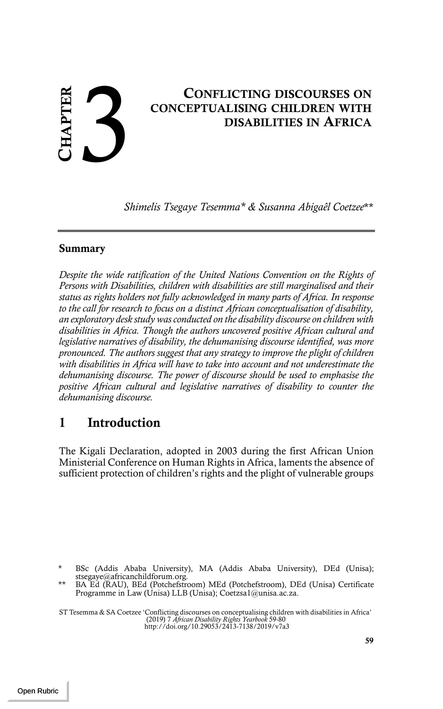# CONFLICTING DISCOURSES ON CONCEPTUALISING CHILDREN WITH DISABILITIES IN AFRICA CONCEPTUALISING CHILDREN WITH DISABILITIES IN AFRICA

*Shimelis Tsegaye Tesemma\* & Susanna Abigaêl Coetzee*\*\*

#### Summary

*Despite the wide ratification of the United Nations Convention on the Rights of Persons with Disabilities, children with disabilities are still marginalised and their status as rights holders not fully acknowledged in many parts of Africa. In response to the call for research to focus on a distinct African conceptualisation of disability, an exploratory desk study was conducted on the disability discourse on children with disabilities in Africa. Though the authors uncovered positive African cultural and legislative narratives of disability, the dehumanising discourse identified, was more pronounced. The authors suggest that any strategy to improve the plight of children with disabilities in Africa will have to take into account and not underestimate the dehumanising discourse. The power of discourse should be used to emphasise the positive African cultural and legislative narratives of disability to counter the dehumanising discourse.*

# 1 Introduction

The Kigali Declaration, adopted in 2003 during the first African Union Ministerial Conference on Human Rights in Africa, laments the absence of sufficient protection of children's rights and the plight of vulnerable groups

BSc (Addis Ababa University), MA (Addis Ababa University), DEd (Unisa);

ST Tesemma & SA Coetzee 'Conflicting discourses on conceptualising children with disabilities in Africa' (2019) 7 *African Disability Rights Yearbook* 59-80 http://doi.org/10.29053/2413-7138/2019/v7a3

stsegaye@africanchildforum.org. \*\* BA Ed (RAU), BEd (Potchefstroom) MEd (Potchefstroom), DEd (Unisa) Certificate Programme in Law (Unisa) LLB (Unisa); Coetzsa1@unisa.ac.za.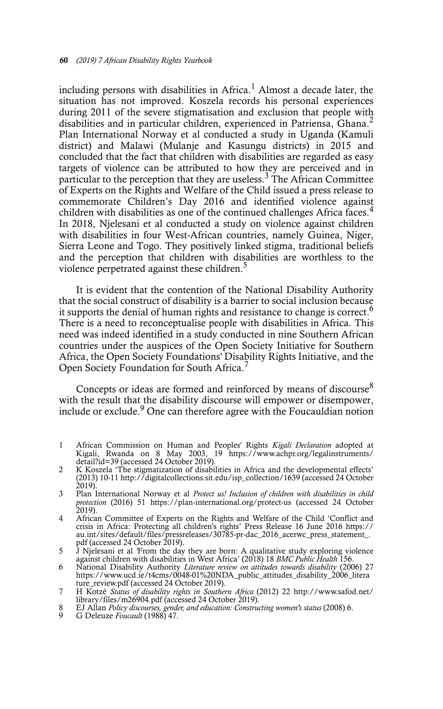including persons with disabilities in Africa.<sup>1</sup> Almost a decade later, the situation has not improved. Koszela records his personal experiences during 2011 of the severe stigmatisation and exclusion that people with disabilities and in particular children, experienced in Patriensa, Ghana.<sup>2</sup> Plan International Norway et al conducted a study in Uganda (Kamuli district) and Malawi (Mulanje and Kasungu districts) in 2015 and concluded that the fact that children with disabilities are regarded as easy targets of violence can be attributed to how they are perceived and in particular to the perception that they are useless.<sup>3</sup> The African Committee of Experts on the Rights and Welfare of the Child issued a press release to commemorate Children's Day 2016 and identified violence against children with disabilities as one of the continued challenges Africa faces.<sup>4</sup> In 2018, Njelesani et al conducted a study on violence against children with disabilities in four West-African countries, namely Guinea, Niger, Sierra Leone and Togo. They positively linked stigma, traditional beliefs and the perception that children with disabilities are worthless to the violence perpetrated against these children.<sup>5</sup>

It is evident that the contention of the National Disability Authority that the social construct of disability is a barrier to social inclusion because it supports the denial of human rights and resistance to change is correct.<sup>6</sup> There is a need to reconceptualise people with disabilities in Africa. This need was indeed identified in a study conducted in nine Southern African countries under the auspices of the Open Society Initiative for Southern Africa, the Open Society Foundations' Disability Rights Initiative, and the Open Society Foundation for South Africa.<sup>7</sup>

Concepts or ideas are formed and reinforced by means of discourse $8$ with the result that the disability discourse will empower or disempower, include or exclude.<sup>9</sup> One can therefore agree with the Foucauldian notion

- 1 African Commission on Human and Peoples' Rights *Kigali Declaration* adopted at Kigali, Rwanda on 8 May 2003, 19 https://www.achpr.org/legalinstruments/ detail?id=39 (accessed 24 October 2019).<br>K Koszela 'The stigmatization of disabilities in Africa and the developmental effects'
- 2 K Koszela 'The stigmatization of disabilities in Africa and the developmental effects' (2013) 10-11 http://digitalcollections.sit.edu/isp\_collection/1639 (accessed 24 October 2019).
- 3 Plan International Norway et al *Protect us! Inclusion of children with disabilities in child protection* (2016) 51 https://plan-international.org/protect-us (accessed 24 October 2019).
- 4 African Committee of Experts on the Rights and Welfare of the Child 'Conflict and crisis in Africa: Protecting all children's rights' Press Release 16 June 2016 https:// au.int/sites/default/files/pressreleases/30785-pr-dac\_2016\_acerwc\_press\_statement\_. pdf (accessed 24 October 2019).
- 5 J Njelesani et al *'*From the day they are born: A qualitative study exploring violence against children with disabilities in West Africa' (2018) 18 *BMC Public Health* 156.
- 6 National Disability Authority *Literature review on attitudes towards disability* (2006) 27 https://www.ucd.ie/t4cms/0048-01%20NDA\_public\_attitudes\_disability\_2006\_litera ture\_review.pdf (accessed 24 October 2019).
- 7 H Kotzé *Status of disability rights in Southern Africa* (2012) 22 http://www.safod.net/ library/files/m26904.pdf (accessed 24 October 2019).
- 8 EJ Allan *Policy discourses, gender, and education: Constructing women's status* (2008) 6.<br>9 G Deleuze *Foucault* (1988) 47
- 9 G Deleuze *Foucault* (1988) 47.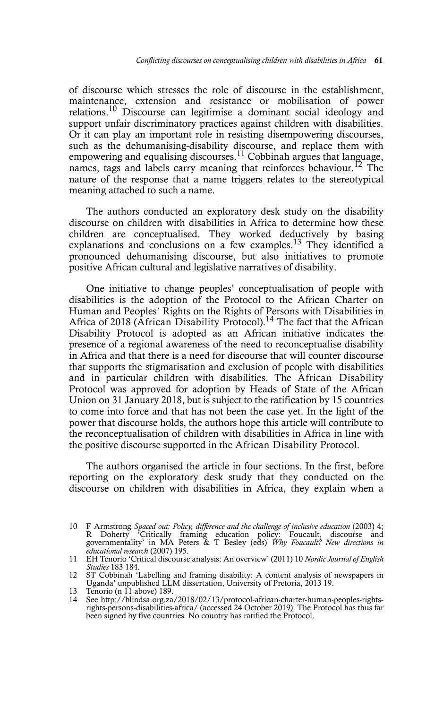of discourse which stresses the role of discourse in the establishment, maintenance, extension and resistance or mobilisation of power relations.<sup>10</sup> Discourse can legitimise a dominant social ideology and support unfair discriminatory practices against children with disabilities. Or it can play an important role in resisting disempowering discourses, such as the dehumanising-disability discourse, and replace them with empowering and equalising discourses.<sup>11</sup> Cobbinah argues that language, names, tags and labels carry meaning that reinforces behaviour.<sup>12</sup> The nature of the response that a name triggers relates to the stereotypical meaning attached to such a name.

The authors conducted an exploratory desk study on the disability discourse on children with disabilities in Africa to determine how these children are conceptualised. They worked deductively by basing explanations and conclusions on a few examples.<sup>13</sup> They identified a pronounced dehumanising discourse, but also initiatives to promote positive African cultural and legislative narratives of disability.

One initiative to change peoples' conceptualisation of people with disabilities is the adoption of the Protocol to the African Charter on Human and Peoples' Rights on the Rights of Persons with Disabilities in Africa of 2018 (African Disability Protocol).<sup>14</sup> The fact that the African Disability Protocol is adopted as an African initiative indicates the presence of a regional awareness of the need to reconceptualise disability in Africa and that there is a need for discourse that will counter discourse that supports the stigmatisation and exclusion of people with disabilities and in particular children with disabilities. The African Disability Protocol was approved for adoption by Heads of State of the African Union on 31 January 2018, but is subject to the ratification by 15 countries to come into force and that has not been the case yet. In the light of the power that discourse holds, the authors hope this article will contribute to the reconceptualisation of children with disabilities in Africa in line with the positive discourse supported in the African Disability Protocol.

The authors organised the article in four sections. In the first, before reporting on the exploratory desk study that they conducted on the discourse on children with disabilities in Africa, they explain when a

<sup>10</sup> F Armstrong *Spaced out: Policy, difference and the challenge of inclusive education* (2003) 4;<br>R Doherty 'Critically framing education policy: Foucault, discourse and<br>governmentality' in MA Peters & T Besley (eds) *Why educational research* (2007) 195.

<sup>11</sup> EH Tenorio 'Critical discourse analysis: An overview' (2011) 10 *Nordic Journal of English Studies* 183 184.

<sup>12</sup> ST Cobbinah 'Labelling and framing disability: A content analysis of newspapers in Uganda' unpublished LLM dissertation, University of Pretoria, 2013 19.

<sup>13</sup> Tenorio (n  $11$  above) 189.

<sup>14</sup> See http://blindsa.org.za/2018/02/13/protocol-african-charter-human-peoples-rightsrights-persons-disabilities-africa/ (accessed 24 October 2019). The Protocol has thus far been signed by five countries. No country has ratified the Protocol.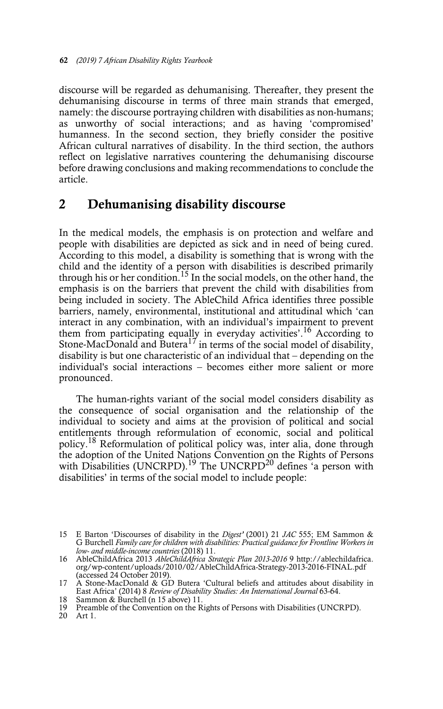discourse will be regarded as dehumanising. Thereafter, they present the dehumanising discourse in terms of three main strands that emerged, namely: the discourse portraying children with disabilities as non-humans; as unworthy of social interactions; and as having 'compromised' humanness. In the second section, they briefly consider the positive African cultural narratives of disability. In the third section, the authors reflect on legislative narratives countering the dehumanising discourse before drawing conclusions and making recommendations to conclude the article.

## 2 Dehumanising disability discourse

In the medical models, the emphasis is on protection and welfare and people with disabilities are depicted as sick and in need of being cured. According to this model, a disability is something that is wrong with the child and the identity of a person with disabilities is described primarily through his or her condition.<sup>15</sup> In the social models, on the other hand, the emphasis is on the barriers that prevent the child with disabilities from being included in society. The AbleChild Africa identifies three possible barriers, namely, environmental, institutional and attitudinal which 'can interact in any combination, with an individual's impairment to prevent them from participating equally in everyday activities'.16 According to Stone-MacDonald and Butera<sup>17</sup> in terms of the social model of disability, disability is but one characteristic of an individual that – depending on the individual's social interactions – becomes either more salient or more pronounced.

The human-rights variant of the social model considers disability as the consequence of social organisation and the relationship of the individual to society and aims at the provision of political and social entitlements through reformulation of economic, social and political policy.18 Reformulation of political policy was, inter alia, done through the adoption of the United Nations Convention on the Rights of Persons with Disabilities (UNCRPD).<sup>19</sup> The UNCRPD<sup>20</sup> defines <sup>'</sup>a person with disabilities' in terms of the social model to include people:

18 Sammon & Burchell (n 15 above) 11.

20 Art 1.

<sup>15</sup> E Barton 'Discourses of disability in the *Digest'* (2001) 21 *JAC* 555; EM Sammon & G Burchell *Family care for children with disabilities: Practical guidance for Frontline Workers in low- and middle-income countries* (2018) 11.

<sup>16</sup> AbleChildAfrica 2013 *AbleChildAfrica Strategic Plan 2013-2016* 9 http://ablechildafrica. org/wp-content/uploads/2010/02/AbleChildAfrica-Strategy-2013-2016-FINAL.pdf (accessed 24 October 2019).

<sup>17</sup> A Stone-MacDonald & GD Butera 'Cultural beliefs and attitudes about disability in East Africa' (2014) 8 *Review of Disability Studies: An International Journal* 63-64.

<sup>19</sup> Preamble of the Convention on the Rights of Persons with Disabilities (UNCRPD).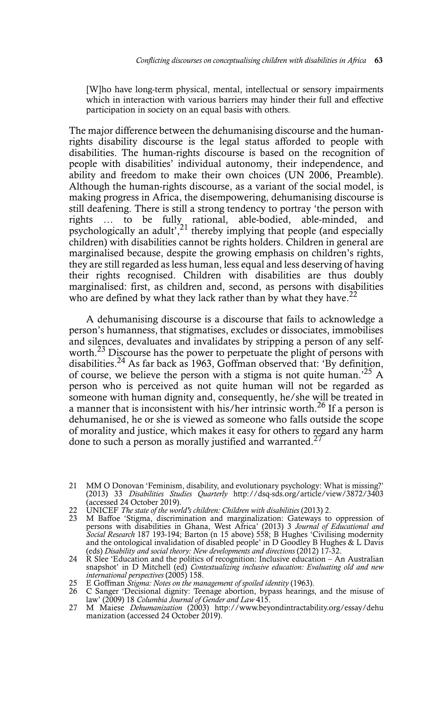[W]ho have long-term physical, mental, intellectual or sensory impairments which in interaction with various barriers may hinder their full and effective participation in society on an equal basis with others.

The major difference between the dehumanising discourse and the humanrights disability discourse is the legal status afforded to people with disabilities. The human-rights discourse is based on the recognition of people with disabilities' individual autonomy, their independence, and ability and freedom to make their own choices (UN 2006, Preamble). Although the human-rights discourse, as a variant of the social model, is making progress in Africa, the disempowering, dehumanising discourse is still deafening. There is still a strong tendency to portray 'the person with rights … to be fully rational, able-bodied, able-minded, and psychologically an adult',<sup>21</sup> thereby implying that people (and especially children) with disabilities cannot be rights holders. Children in general are marginalised because, despite the growing emphasis on children's rights, they are still regarded as less human, less equal and less deserving of having their rights recognised. Children with disabilities are thus doubly marginalised: first, as children and, second, as persons with disabilities who are defined by what they lack rather than by what they have. $^{22}$ 

A dehumanising discourse is a discourse that fails to acknowledge a person's humanness, that stigmatises, excludes or dissociates, immobilises and silences, devaluates and invalidates by stripping a person of any selfworth.<sup>23</sup> Discourse has the power to perpetuate the plight of persons with disabilities.24 As far back as 1963, Goffman observed that: 'By definition, of course, we believe the person with a stigma is not quite human.<sup>25</sup> A person who is perceived as not quite human will not be regarded as someone with human dignity and, consequently, he/she will be treated in a manner that is inconsistent with his/her intrinsic worth.<sup>26</sup> If a person is dehumanised, he or she is viewed as someone who falls outside the scope of morality and justice, which makes it easy for others to regard any harm done to such a person as morally justified and warranted. $2^{2}$ 

- 21 MM O Donovan 'Feminism, disability, and evolutionary psychology: What is missing?' (2013) 33 *Disabilities Studies Quarterly* http://dsq-sds.org/article/view/3872/3403 (accessed 24 October 2019).
- 22 UNICEF *The state of the world's children: Children with disabilities* (2013) 2.
- 23 M Baffoe 'Stigma, discrimination and marginalization: Gateways to oppression of persons with disabilities in Ghana, West Africa' (2013) 3 *Journal of Educational and Social Research* 187 193-194; Barton (n 15 above) 558; B Hughes 'Civilising modernity and the ontological invalidation of disabled people' in D Goodley B Hughes & L Davis
- (eds) *Disability and social theory: New developments and directions* (2012) 17-32. 24 R Slee 'Education and the politics of recognition: Inclusive education An Australian snapshot' in D Mitchell (ed) *Contextualizing inclusive education: Evaluating old and new international perspectives* (2005) 158.
- 25 E Goffman *Stigma: Notes on the management of spoiled identity* (1963).
- 26 C Sanger 'Decisional dignity: Teenage abortion, bypass hearings, and the misuse of law' (2009) 18 *Columbia Journal of Gender and Law* 415.
- 27 M Maiese *Dehumanization* (2003) http://www.beyondintractability.org/essay/dehu manization (accessed 24 October 2019).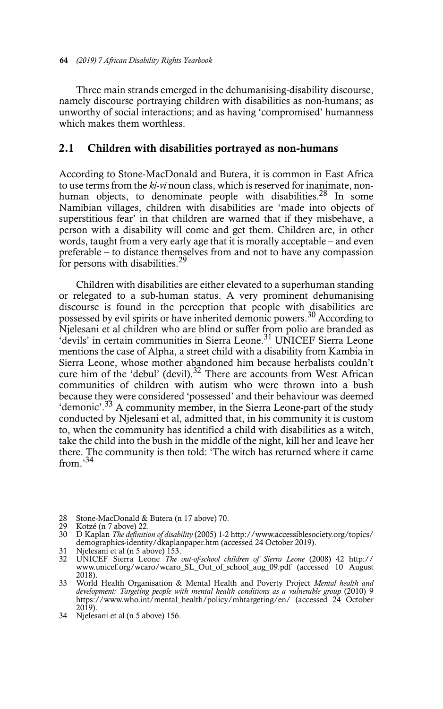Three main strands emerged in the dehumanising-disability discourse, namely discourse portraying children with disabilities as non-humans; as unworthy of social interactions; and as having 'compromised' humanness which makes them worthless.

#### 2.1 Children with disabilities portrayed as non-humans

According to Stone-MacDonald and Butera, it is common in East Africa to use terms from the *ki-vi* noun class, which is reserved for inanimate, nonhuman objects, to denominate people with disabilities.<sup>28</sup> In some Namibian villages, children with disabilities are 'made into objects of superstitious fear' in that children are warned that if they misbehave, a person with a disability will come and get them. Children are, in other words, taught from a very early age that it is morally acceptable – and even preferable – to distance themselves from and not to have any compassion for persons with disabilities.<sup>29</sup>

Children with disabilities are either elevated to a superhuman standing or relegated to a sub-human status. A very prominent dehumanising discourse is found in the perception that people with disabilities are possessed by evil spirits or have inherited demonic powers.<sup>30</sup> According to Njelesani et al children who are blind or suffer from polio are branded as 'devils' in certain communities in Sierra Leone.<sup>31</sup> UNICEF Sierra Leone mentions the case of Alpha, a street child with a disability from Kambia in Sierra Leone, whose mother abandoned him because herbalists couldn't cure him of the 'debul' (devil).<sup>32</sup> There are accounts from West African communities of children with autism who were thrown into a bush because they were considered 'possessed' and their behaviour was deemed 'demonic'.33 A community member, in the Sierra Leone-part of the study conducted by Njelesani et al, admitted that, in his community it is custom to, when the community has identified a child with disabilities as a witch, take the child into the bush in the middle of the night, kill her and leave her there. The community is then told: 'The witch has returned where it came from.'34

- 28 Stone-MacDonald & Butera (n 17 above) 70.
- 29 Kotzé (n 7 above) 22.
- 30 D Kaplan *The definition of disability* (2005) 1-2 http://www.accessiblesociety.org/topics/ demographics-identity/dkaplanpaper.htm (accessed 24 October 2019).
- 31 Njelesani et al (n 5 above) 153.
- 32 UNICEF Sierra Leone *The out-of-school children of Sierra Leone* (2008) 42 http:// www.unicef.org/wcaro/wcaro\_SL\_Out\_of\_school\_aug\_09.pdf (accessed 10 August 2018).
- 33 World Health Organisation & Mental Health and Poverty Project *Mental health and* development: Targeting people with mental health conditions as a vulnerable group (2010) 9 https://www.who.int/mental\_health/policy/mhtargeting/en/ (accessed 24 October 2019).
- 34 Njelesani et al (n 5 above) 156.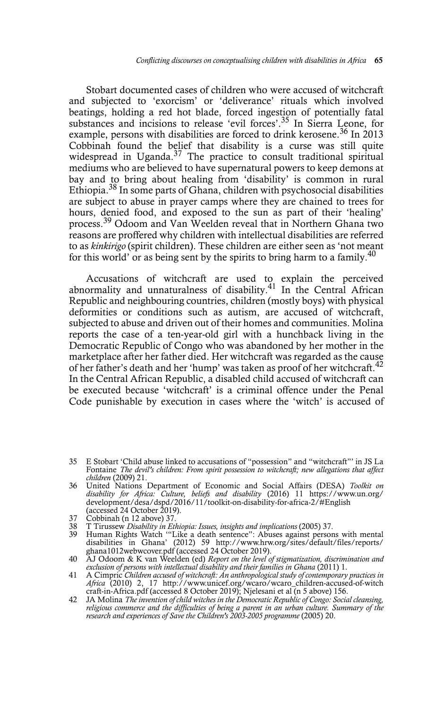Stobart documented cases of children who were accused of witchcraft and subjected to 'exorcism' or 'deliverance' rituals which involved beatings, holding a red hot blade, forced ingestion of potentially fatal substances and incisions to release 'evil forces'.<sup>35</sup> In Sierra Leone, for example, persons with disabilities are forced to drink kerosene.<sup>36</sup> In 2013 Cobbinah found the belief that disability is a curse was still quite widespread in Uganda.<sup>37</sup> The practice to consult traditional spiritual mediums who are believed to have supernatural powers to keep demons at bay and to bring about healing from 'disability' is common in rural Ethiopia.<sup>38</sup> In some parts of Ghana, children with psychosocial disabilities are subject to abuse in prayer camps where they are chained to trees for hours, denied food, and exposed to the sun as part of their 'healing' process.39 Odoom and Van Weelden reveal that in Northern Ghana two reasons are proffered why children with intellectual disabilities are referred to as *kinkirigo* (spirit children). These children are either seen as 'not meant for this world' or as being sent by the spirits to bring harm to a family.<sup>40</sup>

Accusations of witchcraft are used to explain the perceived abnormality and unnaturalness of disability. $41$  In the Central African Republic and neighbouring countries, children (mostly boys) with physical deformities or conditions such as autism, are accused of witchcraft, subjected to abuse and driven out of their homes and communities. Molina reports the case of a ten-year-old girl with a hunchback living in the Democratic Republic of Congo who was abandoned by her mother in the marketplace after her father died. Her witchcraft was regarded as the cause of her father's death and her 'hump' was taken as proof of her witchcraft.<sup>42</sup> In the Central African Republic, a disabled child accused of witchcraft can be executed because 'witchcraft' is a criminal offence under the Penal Code punishable by execution in cases where the 'witch' is accused of

- 37 Cobbinah (n 12 above) 37.
- 
- 38 T Tirussew Disability in Ethiopia: Issues, insights and implications (2005) 37.<br>39 Human Rights Watch "'Like a death sentence": Abuses against persons with mental<br>disabilities in Ghana' (2012) 59 http://www.hrw.org/site
- 40 AJ Odoom & K van Weelden (ed) *Report on the level of stigmatization, discrimination and exclusion of persons with intellectual disability and their families in Ghana* (2011) 1.
- 41 A Cimpric *Children accused of witchcraft: An anthropological study of contemporary practices in Africa* (2010) 2, 17 http://www.unicef.org/wcaro/wcaro\_children-accused-of-witch craft-in-Africa.pdf (accessed 8 October 2019); Njelesani et al $\bar{p}$ (n 5 above) 156.
- 42 JA Molina *The invention of child witches in the Democratic Republic of Congo: Social cleansing, religious commerce and the difficulties of being a parent in an urban culture. Summary of the* research and experiences of Save the Children's 2003-2005 programme (2005) 20.

<sup>35</sup> E Stobart 'Child abuse linked to accusations of "possession" and "witchcraft"' in JS La Fontaine *The devil's children: From spirit possession to witchcraft; new allegations that affect children* (2009) 21.

<sup>36</sup> United Nations Department of Economic and Social Affairs (DESA) *Toolkit on disability for Africa: Culture, beliefs and disability* (2016) 11 https://www.un.org/ development/desa/dspd/2016/11/toolkit-on-disability-for-africa-2/#English (accessed 24 October 2019).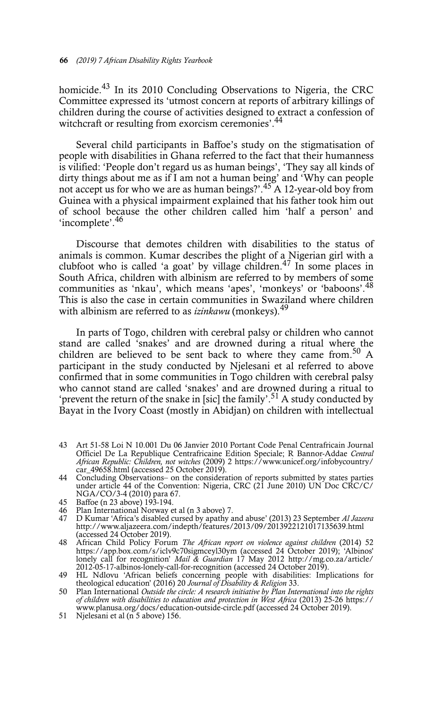homicide.43 In its 2010 Concluding Observations to Nigeria, the CRC Committee expressed its 'utmost concern at reports of arbitrary killings of children during the course of activities designed to extract a confession of witchcraft or resulting from exorcism ceremonies'.<sup>44</sup>

Several child participants in Baffoe's study on the stigmatisation of people with disabilities in Ghana referred to the fact that their humanness is vilified: 'People don't regard us as human beings', 'They say all kinds of dirty things about me as if I am not a human being' and 'Why can people not accept us for who we are as human beings?'.<sup>45</sup> A 12-year-old boy from Guinea with a physical impairment explained that his father took him out of school because the other children called him 'half a person' and 'incomplete'.<sup>46</sup>

Discourse that demotes children with disabilities to the status of animals is common. Kumar describes the plight of a Nigerian girl with a clubfoot who is called 'a goat' by village children.<sup>47</sup> In some places in South Africa, children with albinism are referred to by members of some communities as 'nkau', which means 'apes', 'monkeys' or 'baboons'.48 This is also the case in certain communities in Swaziland where children with albinism are referred to as *izinkawu* (monkeys).<sup>49</sup>

In parts of Togo, children with cerebral palsy or children who cannot stand are called 'snakes' and are drowned during a ritual where the children are believed to be sent back to where they came from.<sup>50</sup> A participant in the study conducted by Njelesani et al referred to above confirmed that in some communities in Togo children with cerebral palsy who cannot stand are called 'snakes' and are drowned during a ritual to 'prevent the return of the snake in [sic] the family'.<sup>51</sup> A study conducted by Bayat in the Ivory Coast (mostly in Abidjan) on children with intellectual

- 43 Art 51-58 Loi N 10.001 Du 06 Janvier 2010 Portant Code Penal Centrafricain Journal Officiel De La Republique Centrafricaine Edition Speciale; R Bannor-Addae *Central African Republic: Children, not witches* (2009) 2 https://www.unicef.org/infobycountry/ car\_49658.html (accessed 25 October 2019).
- 44 Concluding Observations– on the consideration of reports submitted by states parties under article 44 of the Convention: Nigeria, CRC (21 June 2010) UN Doc CRC/C/ NGA/CO/3-4 (2010) para 67.
- 45 Baffoe (n 23 above) 193-194.<br>46 Plan International Norway et
- 46 Plan International Norway et al (n 3 above) 7.
- 47 D Kumar 'Africa's disabled cursed by apathy and abuse' (2013) 23 September *Al Jazeera* http://www.aljazeera.com/indepth/features/2013/09/2013922121017135639.html
- (accessed 24 October 2019). 48 African Child Policy Forum *The African report on violence against children* (2014) 52 https://app.box.com/s/iclv9c70sigmceyl30ym (accessed 24 October 2019); 'Albinos' lonely call for recognition' *Mail & Guardian* 17 May 2012 http://mg.co.za/article/ 2012-05-17-albinos-lonely-call-for-recognition (accessed 24 October 2019).
- 49 HL Ndlovu 'African beliefs concerning people with disabilities: Implications for theological education' (2016) 20 *Journal of Disability & Religion* 33.
- 50 Plan International *Outside the circle: A research initiative by Plan International into the rights of children with disabilities to education and protection in West Africa* (2013) 25-26 https:// www.planusa.org/docs/education-outside-circle.pdf (accessed 24 October 2019).
- 51 Njelesani et al (n 5 above) 156.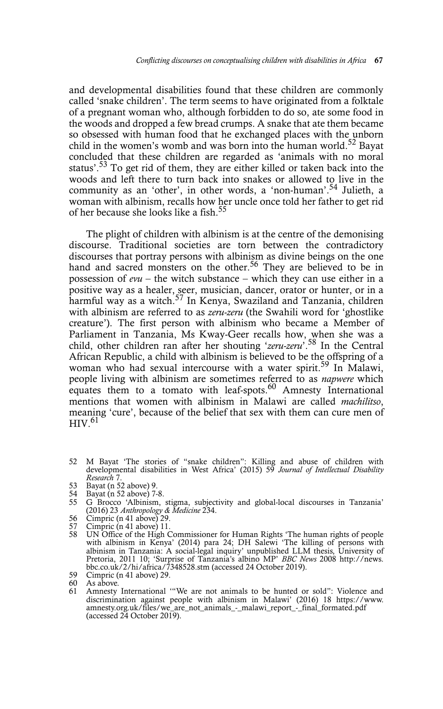and developmental disabilities found that these children are commonly called 'snake children'. The term seems to have originated from a folktale of a pregnant woman who, although forbidden to do so, ate some food in the woods and dropped a few bread crumps. A snake that ate them became so obsessed with human food that he exchanged places with the unborn child in the women's womb and was born into the human world.<sup>52</sup> Bayat concluded that these children are regarded as 'animals with no moral status'.<sup>53</sup> To get rid of them, they are either killed or taken back into the woods and left there to turn back into snakes or allowed to live in the community as an 'other', in other words, a 'non-human'.<sup>54</sup> Julieth, a woman with albinism, recalls how her uncle once told her father to get rid of her because she looks like a fish.<sup>55</sup>

The plight of children with albinism is at the centre of the demonising discourse. Traditional societies are torn between the contradictory discourses that portray persons with albinism as divine beings on the one hand and sacred monsters on the other.<sup>56</sup> They are believed to be in possession of *evu* – the witch substance – which they can use either in a positive way as a healer, seer, musician, dancer, orator or hunter, or in a harmful way as a witch. $57$  In Kenya, Swaziland and Tanzania, children with albinism are referred to as *zeru-zeru* (the Swahili word for 'ghostlike creature'). The first person with albinism who became a Member of Parliament in Tanzania, Ms Kway-Geer recalls how, when she was a child, other children ran after her shouting '*zeru-zeru*'.58 In the Central African Republic, a child with albinism is believed to be the offspring of a woman who had sexual intercourse with a water spirit.<sup>59</sup> In Malawi, people living with albinism are sometimes referred to as *napwere* which equates them to a tomato with leaf-spots. $60$  Amnesty International mentions that women with albinism in Malawi are called *machilitso*, meaning 'cure', because of the belief that sex with them can cure men of  $H$ IV $61$ 

- 52 M Bayat 'The stories of "snake children": Killing and abuse of children with developmental disabilities in West Africa' (2015) 59 *Journal of Intellectual Disability Research* 7.
- 53 Bayat (n 52 above) 9.
- 54 Bayat (n 52 above) 7-8.
- 55 G Brocco 'Albinism, stigma, subjectivity and global-local discourses in Tanzania' (2016) 23 *Anthropology & Medicine* 234. 56 Cimpric (n 41 above) 29.
- 
- 57 Cimpric (n 41 above) 11.<br>58 IIN Office of the High C
- 58 UN Office of the High Commissioner for Human Rights 'The human rights of people with albinism in Kenya' (2014) para 24; DH Salewi 'The killing of persons with albinism in Tanzania: A social-legal inquiry' unpublished LL Pretoria, 2011 10; 'Surprise of Tanzania's albino MP' *BBC News* 2008 http://news. bbc.co.uk/2/hi/africa/7348528.stm (accessed 24 October 2019).
- 59 Cimpric (n 41 above) 29.

60 As above. 61 Amnesty International '"We are not animals to be hunted or sold": Violence and discrimination against people with albinism in Malawi' (2016) 18 https://www. amnesty.org.uk/files/we\_are\_not\_animals\_-\_malawi\_report\_-\_final\_formated.pdf (accessed 24 October 2019).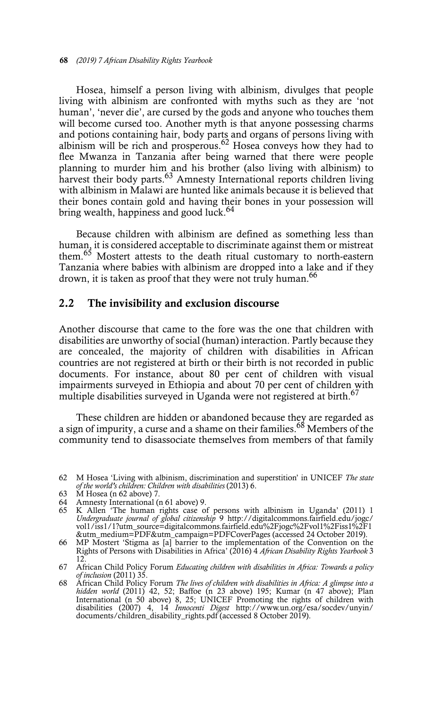Hosea, himself a person living with albinism, divulges that people living with albinism are confronted with myths such as they are 'not human', 'never die', are cursed by the gods and anyone who touches them will become cursed too. Another myth is that anyone possessing charms and potions containing hair, body parts and organs of persons living with albinism will be rich and prosperous.<sup>62</sup> Hosea conveys how they had to flee Mwanza in Tanzania after being warned that there were people planning to murder him and his brother (also living with albinism) to harvest their body parts.<sup>63</sup> Amnesty International reports children living with albinism in Malawi are hunted like animals because it is believed that their bones contain gold and having their bones in your possession will bring wealth, happiness and good luck.<sup>64</sup>

Because children with albinism are defined as something less than human, it is considered acceptable to discriminate against them or mistreat them.<sup>65</sup> Mostert attests to the death ritual customary to north-eastern Tanzania where babies with albinism are dropped into a lake and if they drown, it is taken as proof that they were not truly human.<sup>66</sup>

#### 2.2 The invisibility and exclusion discourse

Another discourse that came to the fore was the one that children with disabilities are unworthy of social (human) interaction. Partly because they are concealed, the majority of children with disabilities in African countries are not registered at birth or their birth is not recorded in public documents. For instance, about 80 per cent of children with visual impairments surveyed in Ethiopia and about 70 per cent of children with multiple disabilities surveyed in Uganda were not registered at birth.<sup>67</sup>

These children are hidden or abandoned because they are regarded as a sign of impurity, a curse and a shame on their families.<sup>68</sup> Members of the community tend to disassociate themselves from members of that family

- 63 M Hosea (n 62 above) 7.
- 64 Amnesty International (n 61 above) 9.
- 65 K Allen 'The human rights case of persons with albinism in Uganda' (2011) 1 *Undergraduate journal of global citizenship* 9 http://digitalcommons.fairfield.edu/jogc/ vol1/iss1/1?utm\_source=digitalcommons.fairfield.edu%2Fjogc%2Fvol1%2Fiss1%2F1
- &utm\_medium=PDF&utm\_campaign=PDFCoverPages (accessed 24 October 2019). 66 MP Mostert 'Stigma as [a] barrier to the implementation of the Convention on the Rights of Persons with Disabilities in Africa' (2016) 4 *African Disability Rights Yearbook* 3 12.
- 67 African Child Policy Forum *Educating children with disabilities in Africa: Towards a policy of inclusion* (2011) 35.
- 68 African Child Policy Forum *The lives of children with disabilities in Africa: A glimpse into a hidden world* (2011) 42, 52; Baffoe (n 23 above) 195; Kumar (n 47 above); Plan International (n 50 above) 8, 25; UNICEF Promoting the rights of children with disabilities (2007) 4, 14 *Innocenti Digest* http://www.un.org/esa/socdev/unyin/ documents/children\_disability\_rights.pdf (accessed 8 October 2019).

<sup>62</sup> M Hosea 'Living with albinism, discrimination and superstition' in UNICEF *The state of the world's children: Children with disabilities* (2013) 6.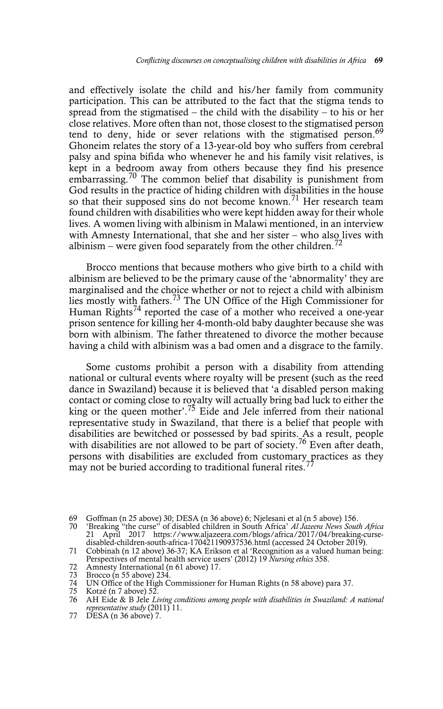and effectively isolate the child and his/her family from community participation. This can be attributed to the fact that the stigma tends to spread from the stigmatised – the child with the disability – to his or her close relatives. More often than not, those closest to the stigmatised person tend to deny, hide or sever relations with the stigmatised person.<sup>69</sup> Ghoneim relates the story of a 13-year-old boy who suffers from cerebral palsy and spina bifida who whenever he and his family visit relatives, is kept in a bedroom away from others because they find his presence embarrassing.<sup>70</sup> The common belief that disability is punishment from God results in the practice of hiding children with disabilities in the house so that their supposed sins do not become known.<sup>71</sup> Her research team found children with disabilities who were kept hidden away for their whole lives. A women living with albinism in Malawi mentioned, in an interview with Amnesty International, that she and her sister – who also lives with albinism – were given food separately from the other children.<sup>72</sup>

Brocco mentions that because mothers who give birth to a child with albinism are believed to be the primary cause of the 'abnormality' they are marginalised and the choice whether or not to reject a child with albinism lies mostly with fathers.73 The UN Office of the High Commissioner for Human Rights<sup>74</sup> reported the case of a mother who received a one-year prison sentence for killing her 4-month-old baby daughter because she was born with albinism. The father threatened to divorce the mother because having a child with albinism was a bad omen and a disgrace to the family.

Some customs prohibit a person with a disability from attending national or cultural events where royalty will be present (such as the reed dance in Swaziland) because it is believed that 'a disabled person making contact or coming close to royalty will actually bring bad luck to either the king or the queen mother'.<sup>75</sup> Eide and Jele inferred from their national representative study in Swaziland, that there is a belief that people with disabilities are bewitched or possessed by bad spirits. As a result, people with disabilities are not allowed to be part of society.<sup>76</sup> Even after death, persons with disabilities are excluded from customary practices as they may not be buried according to traditional funeral rites.<sup>7</sup>

72 Amnesty International (n 61 above) 17.<br>73 Brocco (n 55 above) 234.

77 DESA (n 36 above) 7.

<sup>69</sup> Goffman (n 25 above) 30; DESA (n 36 above) 6; Njelesani et al (n 5 above) 156.<br>70 'Breaking "the curse" of disabled children in South Africa' Al Jazeera News South

<sup>70 &#</sup>x27;Breaking "the curse" of disabled children in South Africa' *Al Jazeera News South Africa* 21 April 2017 https://www.aljazeera.com/blogs/africa/2017/04/breaking-cursedisabled-children-south-africa-170421190937536.html (accessed 24 October 2019).

<sup>71</sup> Cobbinah (n 12 above) 36-37; KA Erikson et al 'Recognition as a valued human being: Perspectives of mental health service users' (2012) 19 *Nursing ethics* 358.

<sup>73</sup> Brocco (n 55 above) 234.<br>74 UN Office of the High C

<sup>74</sup> UN Office of the High Commissioner for Human Rights (n 58 above) para 37.

<sup>75</sup> Kotzé (n 7 above) 52.<br>76 AH Eide & B Jele Li

<sup>76</sup> AH Eide & B Jele *Living conditions among people with disabilities in Swaziland: A national representative study* (2011) 11.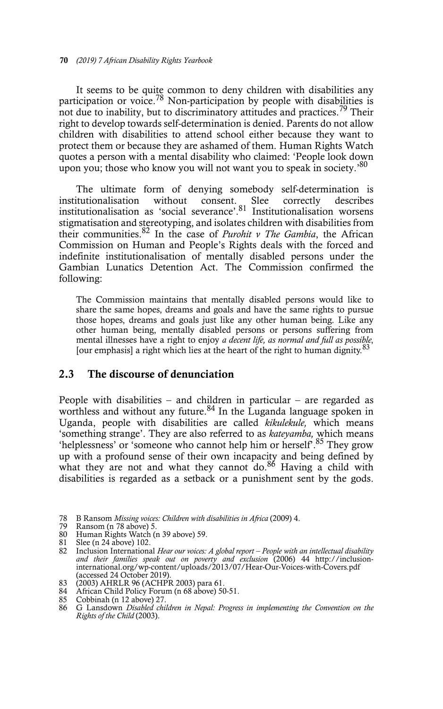It seems to be quite common to deny children with disabilities any participation or voice.<sup>78</sup> Non-participation by people with disabilities is not due to inability, but to discriminatory attitudes and practices.<sup>79</sup> Their right to develop towards self-determination is denied. Parents do not allow children with disabilities to attend school either because they want to protect them or because they are ashamed of them. Human Rights Watch quotes a person with a mental disability who claimed: 'People look down upon you; those who know you will not want you to speak in society.<sup>80</sup>

The ultimate form of denying somebody self-determination is institutionalisation without consent. Slee correctly describes institutionalisation as 'social severance'.<sup>81</sup> Institutionalisation worsens stigmatisation and stereotyping, and isolates children with disabilities from their communities.82 In the case of *Purohit v The Gambia*, the African Commission on Human and People's Rights deals with the forced and indefinite institutionalisation of mentally disabled persons under the Gambian Lunatics Detention Act. The Commission confirmed the following:

The Commission maintains that mentally disabled persons would like to share the same hopes, dreams and goals and have the same rights to pursue those hopes, dreams and goals just like any other human being. Like any other human being, mentally disabled persons or persons suffering from mental illnesses have a right to enjoy *a decent life, as normal and full as possible*, [our emphasis] a right which lies at the heart of the right to human dignity.<sup>83</sup>

#### 2.3 The discourse of denunciation

People with disabilities – and children in particular – are regarded as worthless and without any future.<sup>84</sup> In the Luganda language spoken in Uganda, people with disabilities are called *kikulekule,* which means 'something strange'. They are also referred to as *kateyamba,* which means 'helplessness' or 'someone who cannot help him or herself'.85 They grow up with a profound sense of their own incapacity and being defined by what they are not and what they cannot do.<sup>86</sup> Having a child with disabilities is regarded as a setback or a punishment sent by the gods.

<sup>78</sup> B Ransom *Missing voices: Children with disabilities in Africa* (2009) 4.

<sup>79</sup> Ransom (n 78 above) 5.

<sup>80</sup> Human Rights Watch (n 39 above) 59. 81 Slee (n 24 above) 102. 82 Inclusion International *Hear our voices: A global report – People with an intellectual disability* and their families speak out on poverty and exclusion (2006) 44 http://inclusion-<br>international.org/wp-content/uploads/2013/07/Hear-Our-Voices-with-Covers.pdf (accessed 24 October 2019).

<sup>83 (2003)</sup> AHRLR 96 (ACHPR 2003) para 61. 84 African Child Policy Forum (n 68 above) 50-51.

<sup>85</sup> Cobbinah (n 12 above) 27.

<sup>86</sup> G Lansdown *Disabled children in Nepal: Progress in implementing the Convention on the Rights of the Child* (2003).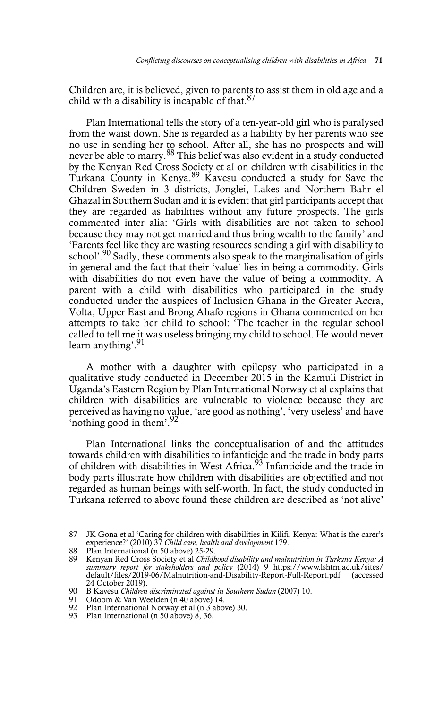Children are, it is believed, given to parents to assist them in old age and a child with a disability is incapable of that. $87$ 

Plan International tells the story of a ten-year-old girl who is paralysed from the waist down. She is regarded as a liability by her parents who see no use in sending her to school. After all, she has no prospects and will never be able to marry.88 This belief was also evident in a study conducted by the Kenyan Red Cross Society et al on children with disabilities in the Turkana County in Kenya.<sup>89</sup> Kavesu conducted a study for Save the Children Sweden in 3 districts, Jonglei, Lakes and Northern Bahr el Ghazal in Southern Sudan and it is evident that girl participants accept that they are regarded as liabilities without any future prospects. The girls commented inter alia: 'Girls with disabilities are not taken to school because they may not get married and thus bring wealth to the family' and 'Parents feel like they are wasting resources sending a girl with disability to school'.<sup>90</sup> Sadly, these comments also speak to the marginalisation of girls in general and the fact that their 'value' lies in being a commodity. Girls with disabilities do not even have the value of being a commodity. A parent with a child with disabilities who participated in the study conducted under the auspices of Inclusion Ghana in the Greater Accra, Volta, Upper East and Brong Ahafo regions in Ghana commented on her attempts to take her child to school: 'The teacher in the regular school called to tell me it was useless bringing my child to school. He would never learn anything'.<sup>91</sup>

A mother with a daughter with epilepsy who participated in a qualitative study conducted in December 2015 in the Kamuli District in Uganda's Eastern Region by Plan International Norway et al explains that children with disabilities are vulnerable to violence because they are perceived as having no value, 'are good as nothing', 'very useless' and have 'nothing good in them'. $92$ 

Plan International links the conceptualisation of and the attitudes towards children with disabilities to infanticide and the trade in body parts of children with disabilities in West Africa.<sup>93</sup> Infanticide and the trade in body parts illustrate how children with disabilities are objectified and not regarded as human beings with self-worth. In fact, the study conducted in Turkana referred to above found these children are described as 'not alive'

<sup>87</sup> JK Gona et al 'Caring for children with disabilities in Kilifi, Kenya: What is the carer's experience?' (2010) 37 *Child care, health and development* 179.

<sup>88</sup> Plan International (n 50 above) 25-29.

<sup>89</sup> Kenyan Red Cross Society et al *Childhood disability and malnutrition in Turkana Kenya: A summary report for stakeholders and policy* (2014) 9 https://www.lshtm.ac.uk/sites/ default/files/2019-06/Malnutrition-and-Disability-Report-Full-Report.pdf (accessed 24 October 2019).

<sup>90</sup> B Kavesu *Children discriminated against in Southern Sudan* (2007) 10.<br>91 Odoom & Van Weelden (n 40 above) 14.

Odoom & Van Weelden (n 40 above) 14.

<sup>92</sup> Plan International Norway et al (n 3 above) 30.

<sup>93</sup> Plan International (n 50 above) 8, 36.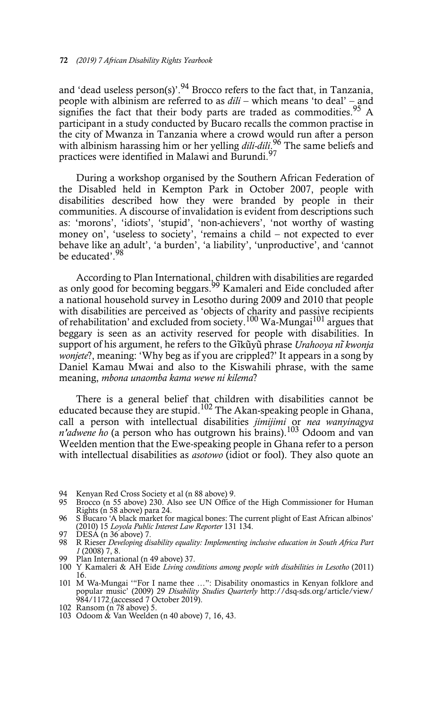and 'dead useless person(s)'.<sup>94</sup> Brocco refers to the fact that, in Tanzania, people with albinism are referred to as *dili* – which means 'to deal' – and signifies the fact that their body parts are traded as commodities.<sup>95</sup> A participant in a study conducted by Bucaro recalls the common practise in the city of Mwanza in Tanzania where a crowd would run after a person with albinism harassing him or her yelling *dili-dili*. 96 The same beliefs and practices were identified in Malawi and Burundi.<sup>9</sup>

During a workshop organised by the Southern African Federation of the Disabled held in Kempton Park in October 2007, people with disabilities described how they were branded by people in their communities. A discourse of invalidation is evident from descriptions such as: 'morons', 'idiots', 'stupid', 'non-achievers', 'not worthy of wasting money on', 'useless to society', 'remains a child – not expected to ever behave like an adult', 'a burden', 'a liability', 'unproductive', and 'cannot be educated'.<sup>98</sup>

According to Plan International, children with disabilities are regarded as only good for becoming beggars.<sup>99</sup> Kamaleri and Eide concluded after a national household survey in Lesotho during 2009 and 2010 that people with disabilities are perceived as 'objects of charity and passive recipients of rehabilitation' and excluded from society.100 Wa-Mungai101 argues that beggary is seen as an activity reserved for people with disabilities. In support of his argument, he refers to the Gĩkũyũ phrase *Urahooya nĩ kwonja wonjete*?, meaning: 'Why beg as if you are crippled?' It appears in a song by Daniel Kamau Mwai and also to the Kiswahili phrase, with the same meaning, *mbona unaomba kama wewe ni kilema*?

There is a general belief that children with disabilities cannot be educated because they are stupid.<sup>102</sup> The Akan-speaking people in Ghana, call a person with intellectual disabilities *jimijimi* or *nea wanyinagya n'adwene ho* (a person who has outgrown his brains).103 Odoom and van Weelden mention that the Ewe-speaking people in Ghana refer to a person with intellectual disabilities as *asotowo* (idiot or fool). They also quote an

- 94 Kenyan Red Cross Society et al (n 88 above) 9.
- 95 Brocco (n 55 above) 230. Also see UN Office of the High Commissioner for Human Rights (n 58 above) para 24.
- 96 S Bucaro 'A black market for magical bones: The current plight of East African albinos' (2010) 15 *Loyola Public Interest Law Reporter* 131 134. 97 DESA (n 36 above) 7.
- 
- 98 R Rieser *Developing disability equality: Implementing inclusive education in South Africa Part 1* (2008) 7, 8.
- 99 Plan International (n 49 above) 37.
- 100 Y Kamaleri & AH Eide *Living conditions among people with disabilities in Lesotho* (2011) 16.
- 101 M Wa-Mungai '"For I name thee …": Disability onomastics in Kenyan folklore and popular music' (2009) 29 *Disability Studies Quarterly* http://dsq-sds.org/article/view/ 984/1172 (accessed 7 October 2019).
- 102 Ransom (n 78 above) 5.
- 103 Odoom & Van Weelden (n 40 above) 7, 16, 43.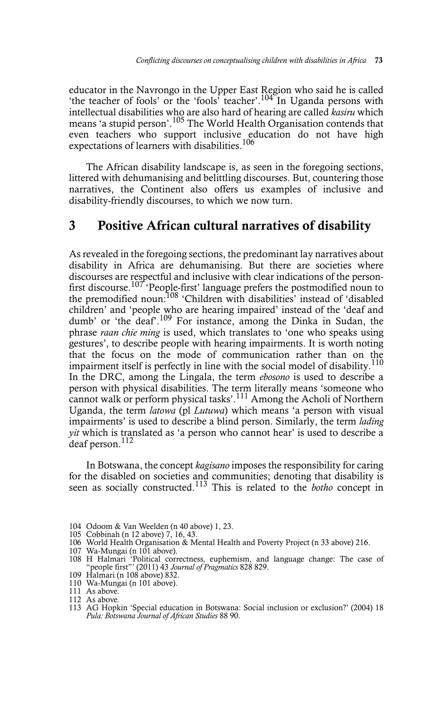educator in the Navrongo in the Upper East Region who said he is called 'the teacher of fools' or the 'fools' teacher'.<sup>104</sup> In Uganda persons with intellectual disabilities who are also hard of hearing are called *kasiru* which means 'a stupid person'.105 The World Health Organisation contends that even teachers who support inclusive education do not have high expectations of learners with disabilities.<sup>106</sup>

The African disability landscape is, as seen in the foregoing sections, littered with dehumanising and belittling discourses. But, countering those narratives, the Continent also offers us examples of inclusive and disability-friendly discourses, to which we now turn.

### 3 Positive African cultural narratives of disability

As revealed in the foregoing sections, the predominant lay narratives about disability in Africa are dehumanising. But there are societies where discourses are respectful and inclusive with clear indications of the personfirst discourse.<sup>107</sup> 'People-first' language prefers the postmodified noun to the premodified noun:<sup>108</sup> 'Children with disabilities' instead of 'disabled children' and 'people who are hearing impaired' instead of the 'deaf and dumb' or 'the deaf'.<sup>109</sup> For instance, among the Dinka in Sudan, the phrase *raan chie ming* is used, which translates to 'one who speaks using gestures', to describe people with hearing impairments. It is worth noting that the focus on the mode of communication rather than on the impairment itself is perfectly in line with the social model of disability.<sup>110</sup> In the DRC, among the Lingala, the term *ebosono* is used to describe a person with physical disabilities. The term literally means 'someone who cannot walk or perform physical tasks'.111 Among the Acholi of Northern Uganda, the term *latowa* (pl *Lutuwa*) which means 'a person with visual impairments' is used to describe a blind person. Similarly, the term *lading yit* which is translated as 'a person who cannot hear' is used to describe a deaf person.<sup>112</sup>

In Botswana, the concept *kagisano* imposes the responsibility for caring for the disabled on societies and communities; denoting that disability is seen as socially constructed.<sup>113</sup> This is related to the *botho* concept in

- 106 World Health Organisation & Mental Health and Poverty Project (n 33 above) 216.
- 107 Wa-Mungai (n 101 above).
- 108 H Halmari 'Political correctness, euphemism, and language change: The case of "people first"' (2011) 43 *Journal of Pragmatics* 828 829.
- 109 Halmari (n 108 above) 832.
- 110 Wa-Mungai (n 101 above). 111 As above.

<sup>104</sup> Odoom & Van Weelden (n 40 above) 1, 23.

<sup>105</sup> Cobbinah (n 12 above) 7, 16, 43.

<sup>112</sup> As above.

<sup>113</sup> AG Hopkin 'Special education in Botswana: Social inclusion or exclusion?' (2004) 18 *Pula: Botswana Journal of African Studies* 88 90.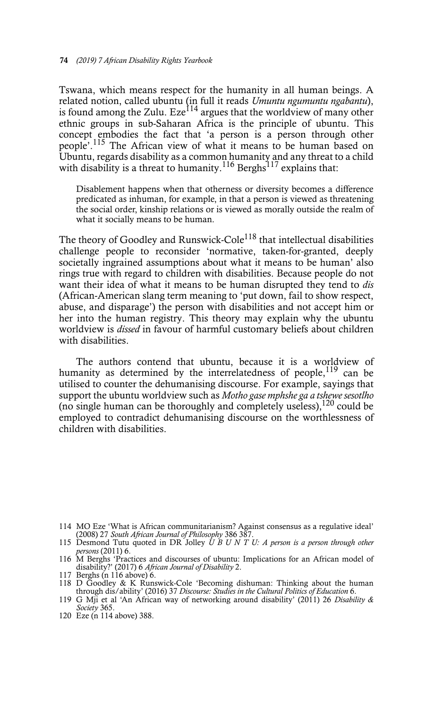Tswana, which means respect for the humanity in all human beings. A related notion, called ubuntu (in full it reads *Umuntu ngumuntu ngabantu*), is found among the Zulu. Eze<sup>114</sup> argues that the worldview of many other ethnic groups in sub-Saharan Africa is the principle of ubuntu. This concept embodies the fact that 'a person is a person through other people'.115 The African view of what it means to be human based on Ubuntu, regards disability as a common humanity and any threat to a child with disability is a threat to humanity.<sup>116</sup> Berghs<sup>117</sup> explains that:

Disablement happens when that otherness or diversity becomes a difference predicated as inhuman, for example, in that a person is viewed as threatening the social order, kinship relations or is viewed as morally outside the realm of what it socially means to be human.

The theory of Goodley and Runswick-Cole<sup>118</sup> that intellectual disabilities challenge people to reconsider 'normative, taken-for-granted, deeply societally ingrained assumptions about what it means to be human' also rings true with regard to children with disabilities. Because people do not want their idea of what it means to be human disrupted they tend to *dis* (African-American slang term meaning to 'put down, fail to show respect, abuse, and disparage') the person with disabilities and not accept him or her into the human registry. This theory may explain why the ubuntu worldview is *dissed* in favour of harmful customary beliefs about children with disabilities.

The authors contend that ubuntu, because it is a worldview of humanity as determined by the interrelatedness of people,  $119$  can be utilised to counter the dehumanising discourse. For example, sayings that support the ubuntu worldview such as *Motho gase mphshe ga a tshewe sesotlho* (no single human can be thoroughly and completely useless),  $^{120}$  could be employed to contradict dehumanising discourse on the worthlessness of children with disabilities.

*persons* (2011) 6.<br>
116 M Berghs 'Practices and discourses of ubuntu: Implications for an African model of disability?' (2017) 6 *African Journal of Disability 2*.

<sup>114</sup> MO Eze 'What is African communitarianism? Against consensus as a regulative ideal' (2008) 27 *South African Journal of Philosophy* 386 387.

<sup>115</sup> Desmond Tutu quoted in DR Jolley *U B U N T U: A person is a person through other*

<sup>117</sup> Berghs (n 116 above) 6.

<sup>118</sup> D Goodley & K Runswick-Cole 'Becoming dishuman: Thinking about the human through dis/ability' (2016) 37 *Discourse: Studies in the Cultural Politics of Education* 6.

<sup>119</sup> G Mji et al 'An African way of networking around disability' (2011) 26 *Disability & Society* 365.

<sup>120</sup> Eze (n 114 above) 388.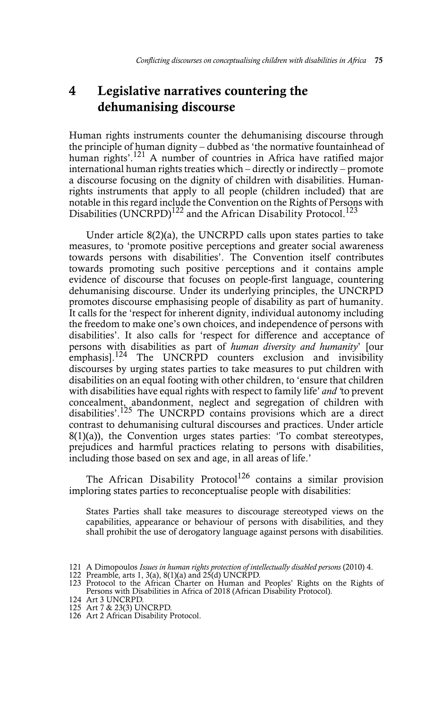# 4 Legislative narratives countering the dehumanising discourse

Human rights instruments counter the dehumanising discourse through the principle of human dignity – dubbed as 'the normative fountainhead of human rights'.<sup>121</sup> A number of countries in Africa have ratified major international human rights treaties which – directly or indirectly – promote a discourse focusing on the dignity of children with disabilities. Humanrights instruments that apply to all people (children included) that are notable in this regard include the Convention on the Rights of Persons with Disabilities (UNCRPD)<sup>122</sup> and the African Disability Protocol.<sup>123</sup>

Under article 8(2)(a), the UNCRPD calls upon states parties to take measures, to 'promote positive perceptions and greater social awareness towards persons with disabilities'. The Convention itself contributes towards promoting such positive perceptions and it contains ample evidence of discourse that focuses on people-first language, countering dehumanising discourse. Under its underlying principles, the UNCRPD promotes discourse emphasising people of disability as part of humanity. It calls for the 'respect for inherent dignity, individual autonomy including the freedom to make one's own choices, and independence of persons with disabilities'. It also calls for 'respect for difference and acceptance of persons with disabilities as part of *human diversity and humanity*' [our The UNCRPD counters exclusion and invisibility discourses by urging states parties to take measures to put children with disabilities on an equal footing with other children, to 'ensure that children with disabilities have equal rights with respect to family life' *and '*to prevent concealment, abandonment, neglect and segregation of children with disabilities'.<sup>125</sup> The UNCRPD contains provisions which are a direct contrast to dehumanising cultural discourses and practices. Under article  $8(1)(a)$ , the Convention urges states parties: 'To combat stereotypes, prejudices and harmful practices relating to persons with disabilities, including those based on sex and age, in all areas of life.'

The African Disability Protocol<sup>126</sup> contains a similar provision imploring states parties to reconceptualise people with disabilities:

States Parties shall take measures to discourage stereotyped views on the capabilities, appearance or behaviour of persons with disabilities, and they shall prohibit the use of derogatory language against persons with disabilities.

- 
- 123 Protocol to the African Charter on Human and Peoples' Rights on the Rights of Persons with Disabilities in Africa of 2018 (African Disability Protocol).
- 124 Art 3 UNCRPD.
- 125 Art 7 & 23(3) UNCRPD.
- 126 Art 2 African Disability Protocol.

<sup>121</sup> A Dimopoulos *Issues in human rights protection of intellectually disabled persons* (2010) 4. 122 Preamble, arts 1, 3(a), 8(1)(a) and 25(d) UNCRPD.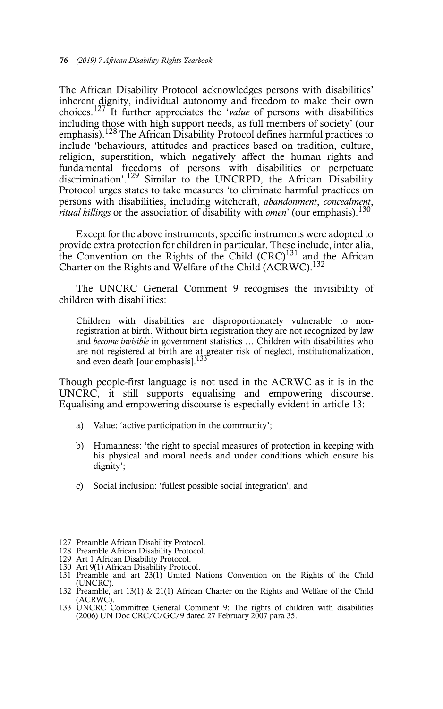The African Disability Protocol acknowledges persons with disabilities' inherent dignity, individual autonomy and freedom to make their own choices.127 It further appreciates the '*value* of persons with disabilities including those with high support needs, as full members of society' (our emphasis).<sup>128</sup> The African Disability Protocol defines harmful practices to include 'behaviours, attitudes and practices based on tradition, culture, religion, superstition, which negatively affect the human rights and fundamental freedoms of persons with disabilities or perpetuate discrimination'.<sup>129</sup> Similar to the UNCRPD, the African Disability Protocol urges states to take measures 'to eliminate harmful practices on persons with disabilities, including witchcraft, *abandonment*, *concealment*, *ritual killings* or the association of disability with *omen*' (our emphasis).130

Except for the above instruments, specific instruments were adopted to provide extra protection for children in particular. These include, inter alia, the Convention on the Rights of the Child  $(CRC)^{131}$  and the African Charter on the Rights and Welfare of the Child (ACRWC).<sup>132</sup>

The UNCRC General Comment 9 recognises the invisibility of children with disabilities:

Children with disabilities are disproportionately vulnerable to nonregistration at birth. Without birth registration they are not recognized by law and *become invisible* in government statistics … Children with disabilities who are not registered at birth are at greater risk of neglect, institutionalization, and even death [our emphasis].<sup>133</sup>

Though people-first language is not used in the ACRWC as it is in the UNCRC, it still supports equalising and empowering discourse. Equalising and empowering discourse is especially evident in article 13:

- a) Value: 'active participation in the community';
- b) Humanness: 'the right to special measures of protection in keeping with his physical and moral needs and under conditions which ensure his dignity';
- c) Social inclusion: 'fullest possible social integration'; and

128 Preamble African Disability Protocol.

130 Art 9(1) African Disability Protocol.

<sup>127</sup> Preamble African Disability Protocol.

<sup>129</sup> Art 1 African Disability Protocol.

<sup>131</sup> Preamble and art 23(1) United Nations Convention on the Rights of the Child (UNCRC).

<sup>132</sup> Preamble, art 13(1) & 21(1) African Charter on the Rights and Welfare of the Child (ACRWC).

<sup>133</sup> UNCRC Committee General Comment 9: The rights of children with disabilities (2006) UN Doc CRC/C/GC/9 dated 27 February 2007 para 35.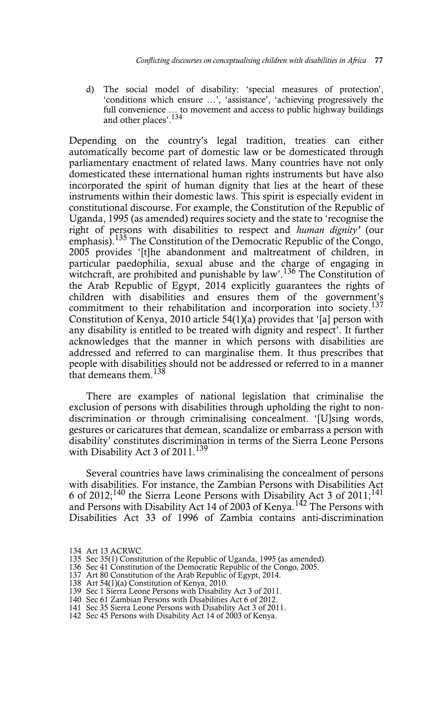d) The social model of disability: 'special measures of protection', 'conditions which ensure …', 'assistance', 'achieving progressively the full convenience ... to movement and access to public highway buildings and other places'.<sup>134</sup>

Depending on the country's legal tradition, treaties can either automatically become part of domestic law or be domesticated through parliamentary enactment of related laws. Many countries have not only domesticated these international human rights instruments but have also incorporated the spirit of human dignity that lies at the heart of these instruments within their domestic laws. This spirit is especially evident in constitutional discourse. For example, the Constitution of the Republic of Uganda, 1995 (as amended) requires society and the state to 'recognise the right of persons with disabilities to respect and *human dignity'* (our emphasis).<sup>135</sup> The Constitution of the Democratic Republic of the Congo, 2005 provides '[t]he abandonment and maltreatment of children, in particular paedophilia, sexual abuse and the charge of engaging in witchcraft, are prohibited and punishable by law'.<sup>136</sup> The Constitution of the Arab Republic of Egypt, 2014 explicitly guarantees the rights of children with disabilities and ensures them of the government's commitment to their rehabilitation and incorporation into society.<sup>137</sup> Constitution of Kenya, 2010 article 54(1)(a) provides that '[a] person with any disability is entitled to be treated with dignity and respect'. It further acknowledges that the manner in which persons with disabilities are addressed and referred to can marginalise them. It thus prescribes that people with disabilities should not be addressed or referred to in a manner that demeans them.<sup>138</sup>

There are examples of national legislation that criminalise the exclusion of persons with disabilities through upholding the right to nondiscrimination or through criminalising concealment. '[U]sing words, gestures or caricatures that demean, scandalize or embarrass a person with disability' constitutes discrimination in terms of the Sierra Leone Persons with Disability Act 3 of 2011.<sup>139</sup>

Several countries have laws criminalising the concealment of persons with disabilities. For instance, the Zambian Persons with Disabilities Act 6 of 2012;<sup>140</sup> the Sierra Leone Persons with Disability Act 3 of 2011;<sup>141</sup> and Persons with Disability Act 14 of 2003 of Kenya.<sup>142</sup> The Persons with Disabilities Act 33 of 1996 of Zambia contains anti-discrimination

- 
- 
- 138 Art 54(1)(a) Constitution of Kenya, 2010.
- 139 Sec 1 Sierra Leone Persons with Disability Act 3 of 2011. 140 Sec 61 Zambian Persons with Disabilities Act 6 of 2012.
- 
- 141 Sec 35 Sierra Leone Persons with Disability Act 3 of 2011.
- 142 Sec 45 Persons with Disability Act 14 of 2003 of Kenya.

<sup>134</sup> Art 13 ACRWC.

<sup>135</sup> Sec 35(1) Constitution of the Republic of Uganda, 1995 (as amended). 136 Sec 41 Constitution of the Democratic Republic of the Congo, 2005. 137 Art 80 Constitution of the Arab Republic of Egypt, 2014.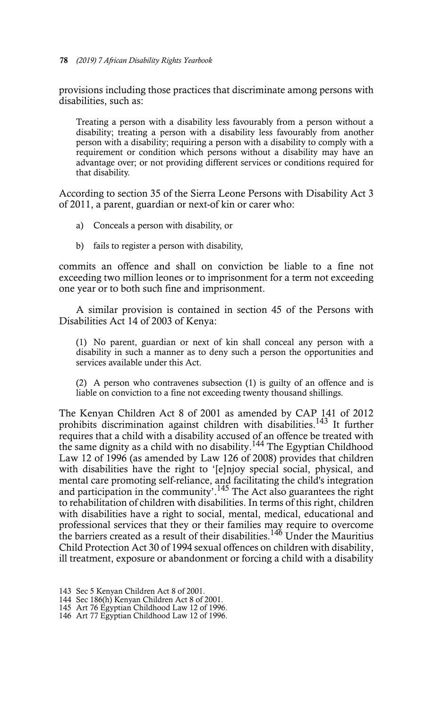provisions including those practices that discriminate among persons with disabilities, such as:

Treating a person with a disability less favourably from a person without a disability; treating a person with a disability less favourably from another person with a disability; requiring a person with a disability to comply with a requirement or condition which persons without a disability may have an advantage over; or not providing different services or conditions required for that disability.

According to section 35 of the Sierra Leone Persons with Disability Act 3 of 2011, a parent, guardian or next-of kin or carer who:

- a) Conceals a person with disability, or
- b) fails to register a person with disability,

commits an offence and shall on conviction be liable to a fine not exceeding two million leones or to imprisonment for a term not exceeding one year or to both such fine and imprisonment.

A similar provision is contained in section 45 of the Persons with Disabilities Act 14 of 2003 of Kenya:

(1) No parent, guardian or next of kin shall conceal any person with a disability in such a manner as to deny such a person the opportunities and services available under this Act.

(2) A person who contravenes subsection (1) is guilty of an offence and is liable on conviction to a fine not exceeding twenty thousand shillings.

The Kenyan Children Act 8 of 2001 as amended by CAP 141 of 2012 prohibits discrimination against children with disabilities.<sup>143</sup> It further requires that a child with a disability accused of an offence be treated with the same dignity as a child with no disability.144 The Egyptian Childhood Law 12 of 1996 (as amended by Law 126 of 2008) provides that children with disabilities have the right to '[e]njoy special social, physical, and mental care promoting self-reliance, and facilitating the child's integration and participation in the community'.<sup>145</sup> The Act also guarantees the right to rehabilitation of children with disabilities. In terms of this right, children with disabilities have a right to social, mental, medical, educational and professional services that they or their families may require to overcome the barriers created as a result of their disabilities.<sup>146</sup> Under the Mauritius Child Protection Act 30 of 1994 sexual offences on children with disability, ill treatment, exposure or abandonment or forcing a child with a disability

<sup>143</sup> Sec 5 Kenyan Children Act 8 of 2001.

<sup>144</sup> Sec 186(h) Kenyan Children Act 8 of 2001.

<sup>145</sup> Art 76 Egyptian Childhood Law 12 of 1996.

<sup>146</sup> Art 77 Egyptian Childhood Law 12 of 1996.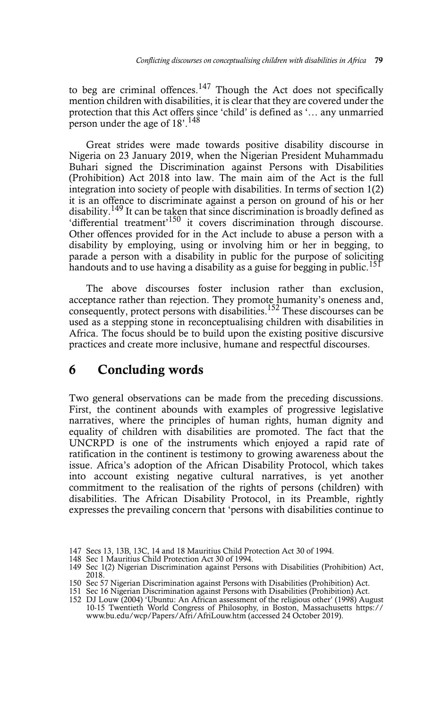to beg are criminal offences.<sup>147</sup> Though the Act does not specifically mention children with disabilities, it is clear that they are covered under the protection that this Act offers since 'child' is defined as '… any unmarried person under the age of 18'.148

Great strides were made towards positive disability discourse in Nigeria on 23 January 2019, when the Nigerian President Muhammadu Buhari signed the Discrimination against Persons with Disabilities (Prohibition) Act 2018 into law. The main aim of the Act is the full integration into society of people with disabilities. In terms of section 1(2) it is an offence to discriminate against a person on ground of his or her disability.149 It can be taken that since discrimination is broadly defined as 'differential treatment'<sup>150</sup> it covers discrimination through discourse. Other offences provided for in the Act include to abuse a person with a disability by employing, using or involving him or her in begging, to parade a person with a disability in public for the purpose of soliciting handouts and to use having a disability as a guise for begging in public.<sup>151</sup>

The above discourses foster inclusion rather than exclusion, acceptance rather than rejection. They promote humanity's oneness and, consequently, protect persons with disabilities.<sup>152</sup> These discourses can be used as a stepping stone in reconceptualising children with disabilities in Africa. The focus should be to build upon the existing positive discursive practices and create more inclusive, humane and respectful discourses.

# 6 Concluding words

Two general observations can be made from the preceding discussions. First, the continent abounds with examples of progressive legislative narratives, where the principles of human rights, human dignity and equality of children with disabilities are promoted. The fact that the UNCRPD is one of the instruments which enjoyed a rapid rate of ratification in the continent is testimony to growing awareness about the issue. Africa's adoption of the African Disability Protocol, which takes into account existing negative cultural narratives, is yet another commitment to the realisation of the rights of persons (children) with disabilities. The African Disability Protocol, in its Preamble, rightly expresses the prevailing concern that 'persons with disabilities continue to

<sup>147</sup> Secs 13, 13B, 13C, 14 and 18 Mauritius Child Protection Act 30 of 1994.

<sup>148</sup> Sec 1 Mauritius Child Protection Act 30 of 1994.

<sup>149</sup> Sec 1(2) Nigerian Discrimination against Persons with Disabilities (Prohibition) Act, 2018.

<sup>150</sup> Sec 57 Nigerian Discrimination against Persons with Disabilities (Prohibition) Act.

<sup>151</sup> Sec 16 Nigerian Discrimination against Persons with Disabilities (Prohibition) Act. 152 DJ Louw (2004) 'Ubuntu: An African assessment of the religious other' (1998) August 10-15 Twentieth World Congress of Philosophy, in Boston, Massachusetts https:// www.bu.edu/wcp/Papers/Afri/AfriLouw.htm (accessed 24 October 2019).